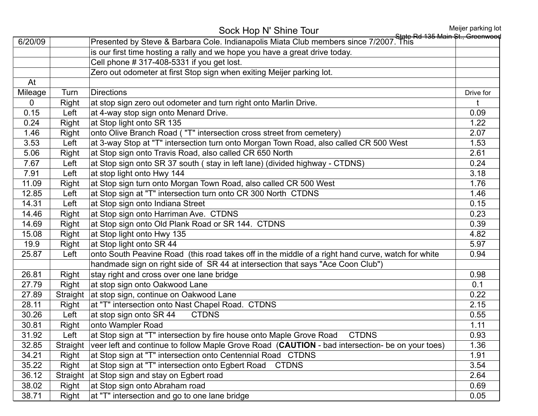|                |          | Sock Hop N' Shine Tour                                                                            | Meijer parking lot<br>State Rd 135 Main St., Greenwood |
|----------------|----------|---------------------------------------------------------------------------------------------------|--------------------------------------------------------|
| 6/20/09        |          | Presented by Steve & Barbara Cole. Indianapolis Miata Club members since 7/2007. This             |                                                        |
|                |          | is our first time hosting a rally and we hope you have a great drive today.                       |                                                        |
|                |          | Cell phone # 317-408-5331 if you get lost.                                                        |                                                        |
|                |          | Zero out odometer at first Stop sign when exiting Meijer parking lot.                             |                                                        |
| At             |          |                                                                                                   |                                                        |
| Mileage        | Turn     | <b>Directions</b>                                                                                 | Drive for                                              |
| $\overline{0}$ | Right    | at stop sign zero out odometer and turn right onto Marlin Drive.                                  | t                                                      |
| 0.15           | Left     | at 4-way stop sign onto Menard Drive.                                                             | 0.09                                                   |
| 0.24           | Right    | at Stop light onto SR 135                                                                         | 1.22                                                   |
| 1.46           | Right    | onto Olive Branch Road ("T" intersection cross street from cemetery)                              | 2.07                                                   |
| 3.53           | Left     | at 3-way Stop at "T" intersection turn onto Morgan Town Road, also called CR 500 West             | 1.53                                                   |
| 5.06           | Right    | at Stop sign onto Travis Road, also called CR 650 North                                           | 2.61                                                   |
| 7.67           | Left     | at Stop sign onto SR 37 south (stay in left lane) (divided highway - CTDNS)                       | 0.24                                                   |
| 7.91           | Left     | at stop light onto Hwy 144                                                                        | 3.18                                                   |
| 11.09          | Right    | at Stop sign turn onto Morgan Town Road, also called CR 500 West                                  | 1.76                                                   |
| 12.85          | Left     | at Stop sign at "T" intersection turn onto CR 300 North CTDNS                                     | 1.46                                                   |
| 14.31          | Left     | at Stop sign onto Indiana Street                                                                  | 0.15                                                   |
| 14.46          | Right    | at Stop sign onto Harriman Ave. CTDNS                                                             | 0.23                                                   |
| 14.69          | Right    | at Stop sign onto Old Plank Road or SR 144. CTDNS                                                 | 0.39                                                   |
| 15.08          | Right    | at Stop light onto Hwy 135                                                                        | 4.82                                                   |
| 19.9           | Right    | at Stop light onto SR 44                                                                          | 5.97                                                   |
| 25.87          | Left     | onto South Peavine Road (this road takes off in the middle of a right hand curve, watch for white | 0.94                                                   |
|                |          | handmade sign on right side of SR 44 at intersection that says "Ace Coon Club")                   |                                                        |
| 26.81          | Right    | stay right and cross over one lane bridge                                                         | 0.98                                                   |
| 27.79          | Right    | at stop sign onto Oakwood Lane                                                                    | 0.1                                                    |
| 27.89          | Straight | at stop sign, continue on Oakwood Lane                                                            | 0.22                                                   |
| 28.11          | Right    | at "T" intersection onto Nast Chapel Road. CTDNS                                                  | 2.15                                                   |
| 30.26          | Left     | at stop sign onto SR 44<br><b>CTDNS</b>                                                           | 0.55                                                   |
| 30.81          | Right    | onto Wampler Road                                                                                 | 1.11                                                   |
| 31.92          | Left     | at Stop sign at "T" intersection by fire house onto Maple Grove Road<br><b>CTDNS</b>              | 0.93                                                   |
| 32.85          | Straight | veer left and continue to follow Maple Grove Road (CAUTION - bad intersection- be on your toes)   | 1.36                                                   |
| 34.21          | Right    | at Stop sign at "T" intersection onto Centennial Road CTDNS                                       | 1.91                                                   |
| 35.22          | Right    | at Stop sign at "T" intersection onto Egbert Road<br><b>CTDNS</b>                                 | 3.54                                                   |
| 36.12          | Straight | at Stop sign and stay on Egbert road                                                              | 2.64                                                   |
| 38.02          | Right    | at Stop sign onto Abraham road                                                                    | 0.69                                                   |
| 38.71          | Right    | at "T" intersection and go to one lane bridge                                                     | 0.05                                                   |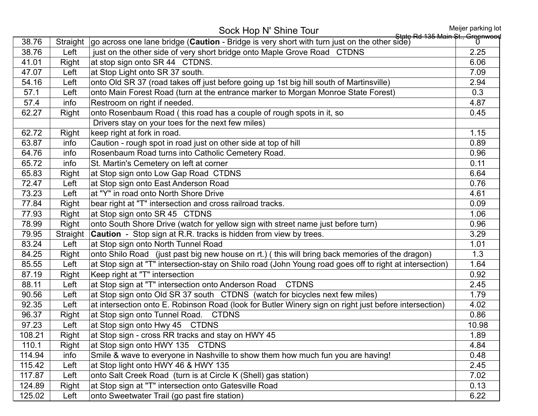Sock Hop N' Shine Tour<br>State Rd 135 Main St., Greenwood State Rd 135 Main St., Greenwood 1 - Rridge is very short with furn just on the other side) Straight go across one lane bridge (**Caution** - Bridge is very short with turn just on the other side) 38.76 Left in just on the other side of very short bridge onto Maple Grove Road CTDNS 2.25 41.01 Right at stop sign onto SR 44 CTDNS. 6.06 47.07 Left at Stop Light onto SR 37 south. The Second Second Second Second Second Second Second Second Second S 54.16 Left onto Old SR 37 (road takes off just before going up 1st big hill south of Martinsville) 2.94 57.1 Left onto Main Forest Road (turn at the entrance marker to Morgan Monroe State Forest) 0.3 57.4 info Restroom on right if needed. 62.27 Right onto Rosenbaum Road (this road has a couple of rough spots in it, so 0.45 Drivers stay on your toes for the next few miles) 62.72 Right keep right at fork in road. 1.15 63.87 info Caution - rough spot in road just on other side at top of hill 63.87 into 1.89 64.76 info Rosenbaum Road turns into Catholic Cemetery Road. 0.96 65.72 info St. Martin's Cemetery on left at corner 0.11 contract 1.0.11 contract 1.0.11 65.83 Right at Stop sign onto Low Gap Road CTDNS 6.64 T2.47 Left at Stop sign onto East Anderson Road 0.76 73.23 Left at "Y" in road onto North Shore Drive 4.61 77.84 Right bear right at "T" intersection and cross railroad tracks. 0.09 77.93 Right at Stop sign onto SR 45 CTDNS 1.06 78.99 Right onto South Shore Drive (watch for yellow sign with street name just before turn) 0.96 79.95 Straight Caution - Stop sign at R.R. tracks is hidden from view by trees. 3.29 83.24 Left at Stop sign onto North Tunnel Road 1.01 84.25 Right onto Shilo Road (just past big new house on rt.) (this will bring back memories of the dragon) 1.3 85.55 Left at Stop sign at "T" intersection-stay on Shilo road (John Young road goes off to right at intersection) 1.64 87.19 Right Keep right at "T" intersection 0.92 88.11 Left at Stop sign at "T" intersection onto Anderson Road CTDNS 2.45 90.56 Left at Stop sign onto Old SR 37 south CTDNS (watch for bicycles next few miles) 1.79 92.35 Left at intersection onto E. Robinson Road (look for Butler Winery sign on right just before intersection) 4.02 96.37 Right at Stop sign onto Tunnel Road. CTDNS 0.86 97.23 Left at Stop sign onto Hwy 45 CTDNS 10.98 108.21 Right at Stop sign - cross RR tracks and stay on HWY 45 110.1 Right at Stop sign onto HWY 135 CTDNS 4.84 114.94 info Smile & wave to everyone in Nashville to show them how much fun you are having! 0.48 115.42 Left at Stop light onto HWY 46 & HWY 135 117.87 Left onto Salt Creek Road (turn is at Circle K (Shell) gas station) 7.02 124.89 Right at Stop sign at "T" intersection onto Gatesville Road 124.89 Right 124.89 Right 1.0.13 125.02 Left onto Sweetwater Trail (go past fire station) 6.22